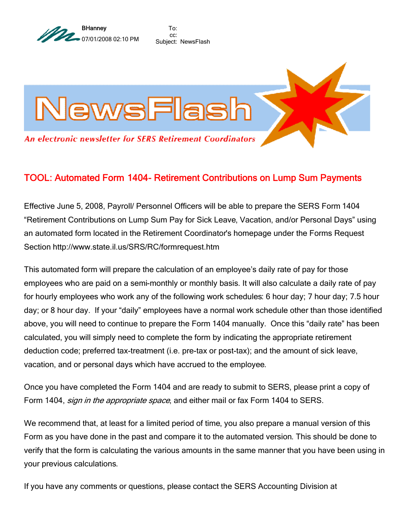

To: cc: Subject: NewsFlash



## TOOL: Automated Form 1404- Retirement Contributions on Lump Sum Payments

Effective June 5, 2008, Payroll/ Personnel Officers will be able to prepare the SERS Form 1404 "Retirement Contributions on Lump Sum Pay for Sick Leave, Vacation, and/or Personal Days" using an automated form located in the Retirement Coordinator's homepage under the Forms Request Section http://www.state.il.us/SRS/RC/formrequest.htm

This automated form will prepare the calculation of an employee's daily rate of pay for those employees who are paid on a semi-monthly or monthly basis. It will also calculate a daily rate of pay for hourly employees who work any of the following work schedules: 6 hour day; 7 hour day; 7.5 hour day; or 8 hour day. If your "daily" employees have a normal work schedule other than those identified above, you will need to continue to prepare the Form 1404 manually. Once this "daily rate" has been calculated, you will simply need to complete the form by indicating the appropriate retirement deduction code; preferred tax-treatment (i.e. pre-tax or post-tax); and the amount of sick leave, vacation, and or personal days which have accrued to the employee.

Once you have completed the Form 1404 and are ready to submit to SERS, please print a copy of Form 1404, *sign in the appropriate space*, and either mail or fax Form 1404 to SERS.

We recommend that, at least for a limited period of time, you also prepare a manual version of this Form as you have done in the past and compare it to the automated version. This should be done to verify that the form is calculating the various amounts in the same manner that you have been using in your previous calculations.

If you have any comments or questions, please contact the SERS Accounting Division at